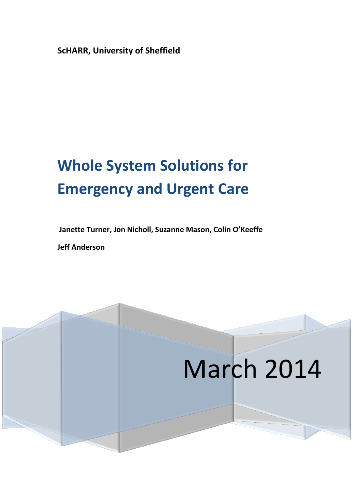**ScHARR, University of Sheffield**

# **Whole System Solutions for Emergency and Urgent Care**

**Janette Turner, Jon Nicholl, Suzanne Mason, Colin O'Keeffe**

**Jeff Anderson**

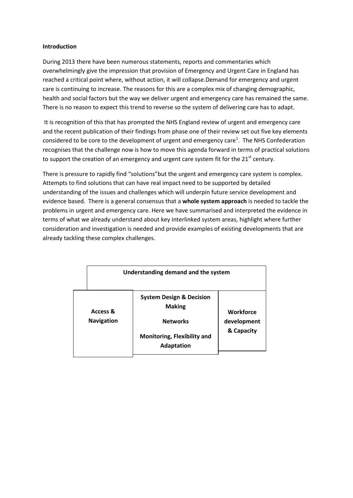### **Introduction**

During 2013 there have been numerous statements, reports and commentaries which overwhelmingly give the impression that provision of Emergency and Urgent Care in England has reached a critical point where, without action, it will collapse.Demand for emergency and urgent care is continuing to increase. The reasons for this are a complex mix of changing demographic, health and social factors but the way we deliver urgent and emergency care has remained the same. There is no reason to expect this trend to reverse so the system of delivering care has to adapt.

It is recognition of this that has prompted the NHS England review of urgent and emergency care and the recent publication of their findings from phase one of their review set out five key elements considered to be core to the development of urgent and emergency care<sup>1</sup>. The NHS Confederation recognises that the challenge now is how to move this agenda forward in terms of practical solutions to support the creation of an emergency and urgent care system fit for the 21<sup>st</sup> century.

There is pressure to rapidly find "solutions"but the urgent and emergency care system is complex. Attempts to find solutions that can have real impact need to be supported by detailed understanding of the issues and challenges which will underpin future service development and evidence based. There is a general consensus that a **whole system approach** is needed to tackle the problems in urgent and emergency care. Here we have summarised and interpreted the evidence in terms of what we already understand about key interlinked system areas, highlight where further consideration and investigation is needed and provide examples of existing developments that are already tackling these complex challenges.

| Understanding demand and the system |                                                                                                                                    |                                               |
|-------------------------------------|------------------------------------------------------------------------------------------------------------------------------------|-----------------------------------------------|
| Access &<br><b>Navigation</b>       | <b>System Design &amp; Decision</b><br><b>Making</b><br><b>Networks</b><br><b>Monitoring, Flexibility and</b><br><b>Adaptation</b> | <b>Workforce</b><br>development<br>& Capacity |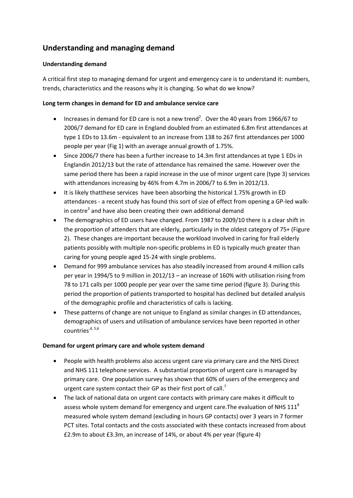# **Understanding and managing demand**

# **Understanding demand**

A critical first step to managing demand for urgent and emergency care is to understand it: numbers, trends, characteristics and the reasons why it is changing. So what do we know?

# **Long term changes in demand for ED and ambulance service care**

- Increases in demand for ED care is not a new trend<sup>2</sup>. Over the 40 years from 1966/67 to 2006/7 demand for ED care in England doubled from an estimated 6.8m first attendances at type 1 EDs to 13.6m - equivalent to an increase from 138 to 267 first attendances per 1000 people per year (Fig 1) with an average annual growth of 1.75%.
- Since 2006/7 there has been a further increase to 14.3m first attendances at type 1 EDs in Englandin 2012/13 but the rate of attendance has remained the same. However over the same period there has been a rapid increase in the use of minor urgent care (type 3) services with attendances increasing by 46% from 4.7m in 2006/7 to 6.9m in 2012/13.
- It is likely thatthese services have been absorbing the historical 1.75% growth in ED attendances - a recent study has found this sort of size of effect from opening a GP-led walkin centre<sup>3</sup> and have also been creating their own additional demand
- The demographics of ED users have changed. From 1987 to 2009/10 there is a clear shift in the proportion of attenders that are elderly, particularly in the oldest category of 75+ (Figure 2). These changes are important because the workload involved in caring for frail elderly patients possibly with multiple non-specific problems in ED is typically much greater than caring for young people aged 15-24 with single problems.
- Demand for 999 ambulance services has also steadily increased from around 4 million calls per year in 1994/5 to 9 million in 2012/13 – an increase of 160% with utilisation rising from 78 to 171 calls per 1000 people per year over the same time period (figure 3). During this period the proportion of patients transported to hospital has declined but detailed analysis of the demographic profile and characteristics of calls is lacking.
- These patterns of change are not unique to England as similar changes in ED attendances, demographics of users and utilisation of ambulance services have been reported in other countries<sup>, 4, 5, 6</sup>

# **Demand for urgent primary care and whole system demand**

- People with health problems also access urgent care via primary care and the NHS Direct and NHS 111 telephone services. A substantial proportion of urgent care is managed by primary care. One population survey has shown that 60% of users of the emergency and urgent care system contact their GP as their first port of call.<sup>7</sup>
- The lack of national data on urgent care contacts with primary care makes it difficult to assess whole system demand for emergency and urgent care. The evaluation of NHS  $111<sup>8</sup>$ measured whole system demand (excluding in hours GP contacts) over 3 years in 7 former PCT sites. Total contacts and the costs associated with these contacts increased from about £2.9m to about £3.3m, an increase of 14%, or about 4% per year (figure 4)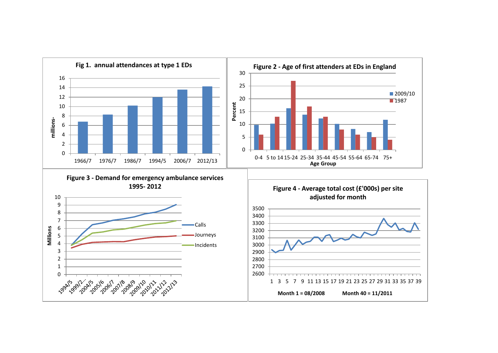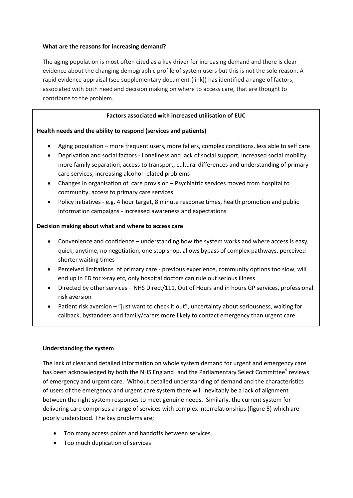## **What are the reasons for increasing demand?**

The aging population is most often cited as a key driver for increasing demand and there is clear evidence about the changing demographic profile of system users but this is not the sole reason. A rapid evidence appraisal (see supplementary document {link}) has identified a range of factors, associated with both need and decision making on where to access care, that are thought to contribute to the problem.

## **Factors associated with increased utilisation of EUC**

## **Health needs and the ability to respond (services and patients)**

- Aging population more frequent users, more fallers, complex conditions, less able to self care
- Deprivation and social factors Loneliness and lack of social support, increased social mobility, more family separation, access to transport, cultural differences and understanding of primary care services, increasing alcohol related problems
- Changes in organisation of care provision Psychiatric services moved from hospital to community, access to primary care services
- Policy initiatives e.g. 4 hour target, 8 minute response times, health promotion and public information campaigns - increased awareness and expectations

## **Decision making about what and where to access care**

- Convenience and confidence understanding how the system works and where access is easy, quick, anytime, no negotiation, one stop shop, allows bypass of complex pathways, perceived shorter waiting times
- Perceived limitations of primary care previous experience, community options too slow, will end up in ED for x-ray etc, only hospital doctors can rule out serious illness
- Directed by other services NHS Direct/111, Out of Hours and in hours GP services, professional risk aversion
- Patient risk aversion "just want to check it out", uncertainty about seriousness, waiting for callback, bystanders and family/carers more likely to contact emergency than urgent care

### **Understanding the system**

The lack of clear and detailed information on whole system demand for urgent and emergency care has been acknowledged by both the NHS England<sup>1</sup> and the Parliamentary Select Committee<sup>9</sup> reviews of emergency and urgent care. Without detailed understanding of demand and the characteristics of users of the emergency and urgent care system there will inevitably be a lack of alignment between the right system responses to meet genuine needs. Similarly, the current system for delivering care comprises a range of services with complex interrelationships (figure 5) which are poorly understood. The key problems are;

- Too many access points and handoffs between services
- Too much duplication of services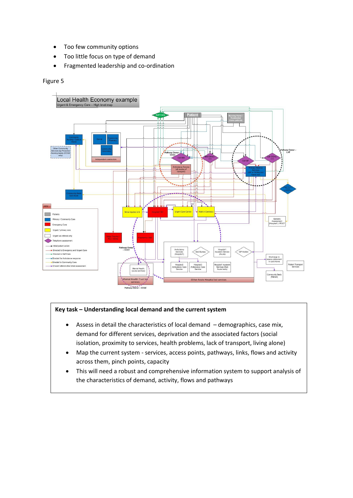- Too few community options
- Too little focus on type of demand
- Fragmented leadership and co-ordination

## Figure 5



## **Key task – Understanding local demand and the current system**

- Assess in detail the characteristics of local demand demographics, case mix, demand for different services, deprivation and the associated factors (social isolation, proximity to services, health problems, lack of transport, living alone)
- Map the current system services, access points, pathways, links, flows and activity across them, pinch points, capacity
- This will need a robust and comprehensive information system to support analysis of the characteristics of demand, activity, flows and pathways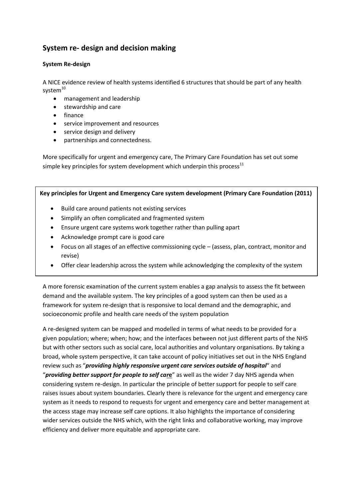# **System re- design and decision making**

## **System Re-design**

A NICE evidence review of health systems identified 6 structures that should be part of any health system $10$ 

- management and leadership
- **•** stewardship and care
- finance
- service improvement and resources
- service design and delivery
- partnerships and connectedness.

More specifically for urgent and emergency care, The Primary Care Foundation has set out some simple key principles for system development which underpin this process $^{11}$ 

**Key principles for Urgent and Emergency Care system development (Primary Care Foundation (2011)**

- Build care around patients not existing services
- Simplify an often complicated and fragmented system
- Ensure urgent care systems work together rather than pulling apart
- Acknowledge prompt care is good care
- Focus on all stages of an effective commissioning cycle (assess, plan, contract, monitor and revise)
- Offer clear leadership across the system while acknowledging the complexity of the system

A more forensic examination of the current system enables a gap analysis to assess the fit between demand and the available system. The key principles of a good system can then be used as a framework for system re-design that is responsive to local demand and the demographic, and socioeconomic profile and health care needs of the system population

A re-designed system can be mapped and modelled in terms of what needs to be provided for a given population; where; when; how; and the interfaces between not just different parts of the NHS but with other sectors such as social care, local authorities and voluntary organisations. By taking a broad, whole system perspective, it can take account of policy initiatives set out in the NHS England review such as "*providing highly responsive urgent care services outside of hospital*" and "*providing better support for people to self car***e**" as well as the wider 7 day NHS agenda when considering system re-design. In particular the principle of better support for people to self care raises issues about system boundaries. Clearly there is relevance for the urgent and emergency care system as it needs to respond to requests for urgent and emergency care and better management at the access stage may increase self care options. It also highlights the importance of considering wider services outside the NHS which, with the right links and collaborative working, may improve efficiency and deliver more equitable and appropriate care.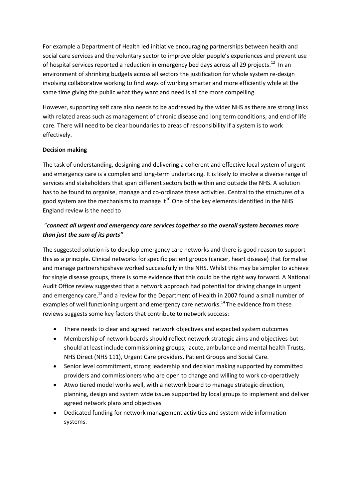For example a Department of Health led initiative encouraging partnerships between health and social care services and the voluntary sector to improve older people's experiences and prevent use of hospital services reported a reduction in emergency bed days across all 29 projects.<sup>12</sup> In an environment of shrinking budgets across all sectors the justification for whole system re-design involving collaborative working to find ways of working smarter and more efficiently while at the same time giving the public what they want and need is all the more compelling.

However, supporting self care also needs to be addressed by the wider NHS as there are strong links with related areas such as management of chronic disease and long term conditions, and end of life care. There will need to be clear boundaries to areas of responsibility if a system is to work effectively.

# **Decision making**

The task of understanding, designing and delivering a coherent and effective local system of urgent and emergency care is a complex and long-term undertaking. It is likely to involve a diverse range of services and stakeholders that span different sectors both within and outside the NHS. A solution has to be found to organise, manage and co-ordinate these activities. Central to the structures of a good system are the mechanisms to manage it<sup>10</sup>. One of the key elements identified in the NHS England review is the need to

# "*connect all urgent and emergency care services together so the overall system becomes more than just the sum of its parts"*

The suggested solution is to develop emergency care networks and there is good reason to support this as a principle. Clinical networks for specific patient groups (cancer, heart disease) that formalise and manage partnershipshave worked successfully in the NHS. Whilst this may be simpler to achieve for single disease groups, there is some evidence that this could be the right way forward. A National Audit Office review suggested that a network approach had potential for driving change in urgent and emergency care,<sup>13</sup> and a review for the Department of Health in 2007 found a small number of examples of well functioning urgent and emergency care networks.<sup>14</sup> The evidence from these reviews suggests some key factors that contribute to network success:

- There needs to clear and agreed network objectives and expected system outcomes
- Membership of network boards should reflect network strategic aims and objectives but should at least include commissioning groups, acute, ambulance and mental health Trusts, NHS Direct (NHS 111), Urgent Care providers, Patient Groups and Social Care.
- Senior level commitment, strong leadership and decision making supported by committed providers and commissioners who are open to change and willing to work co-operatively
- Atwo tiered model works well, with a network board to manage strategic direction, planning, design and system wide issues supported by local groups to implement and deliver agreed network plans and objectives
- Dedicated funding for network management activities and system wide information systems.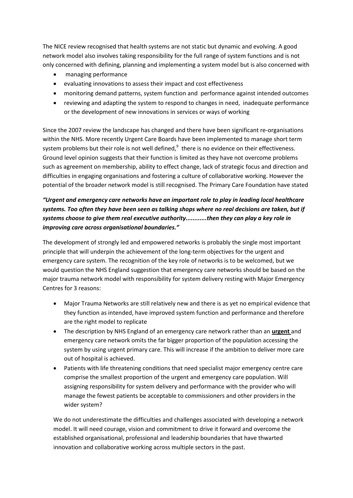The NICE review recognised that health systems are not static but dynamic and evolving. A good network model also involves taking responsibility for the full range of system functions and is not only concerned with defining, planning and implementing a system model but is also concerned with

- managing performance
- evaluating innovations to assess their impact and cost effectiveness
- monitoring demand patterns, system function and performance against intended outcomes
- reviewing and adapting the system to respond to changes in need, inadequate performance or the development of new innovations in services or ways of working

Since the 2007 review the landscape has changed and there have been significant re-organisations within the NHS. More recently Urgent Care Boards have been implemented to manage short term system problems but their role is not well defined, $^9$  there is no evidence on their effectiveness. Ground level opinion suggests that their function is limited as they have not overcome problems such as agreement on membership, ability to effect change, lack of strategic focus and direction and difficulties in engaging organisations and fostering a culture of collaborative working. However the potential of the broader network model is still recognised. The Primary Care Foundation have stated

# *"Urgent and emergency care networks have an important role to play in leading local healthcare systems. Too often they have been seen as talking shops where no real decisions are taken, but if systems choose to give them real executive authority............then they can play a key role in improving care across organisational boundaries."*

The development of strongly led and empowered networks is probably the single most important principle that will underpin the achievement of the long-term objectives for the urgent and emergency care system. The recognition of the key role of networks is to be welcomed, but we would question the NHS England suggestion that emergency care networks should be based on the major trauma network model with responsibility for system delivery resting with Major Emergency Centres for 3 reasons:

- Major Trauma Networks are still relatively new and there is as yet no empirical evidence that they function as intended, have improved system function and performance and therefore are the right model to replicate
- The description by NHS England of an emergency care network rather than an **urgent** and emergency care network omits the far bigger proportion of the population accessing the system by using urgent primary care. This will increase if the ambition to deliver more care out of hospital is achieved.
- Patients with life threatening conditions that need specialist major emergency centre care comprise the smallest proportion of the urgent and emergency care population. Will assigning responsibility for system delivery and performance with the provider who will manage the fewest patients be acceptable to commissioners and other providers in the wider system?

We do not underestimate the difficulties and challenges associated with developing a network model. It will need courage, vision and commitment to drive it forward and overcome the established organisational, professional and leadership boundaries that have thwarted innovation and collaborative working across multiple sectors in the past.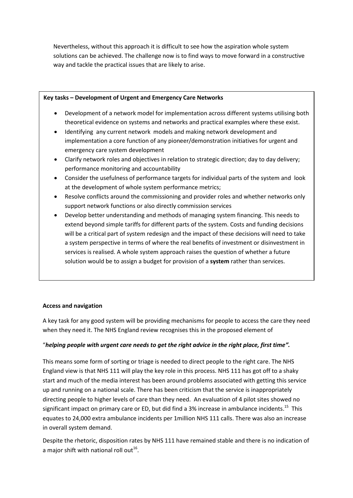Nevertheless, without this approach it is difficult to see how the aspiration whole system solutions can be achieved. The challenge now is to find ways to move forward in a constructive way and tackle the practical issues that are likely to arise.

## **Key tasks – Development of Urgent and Emergency Care Networks**

- Development of a network model for implementation across different systems utilising both theoretical evidence on systems and networks and practical examples where these exist.
- Identifying any current network models and making network development and implementation a core function of any pioneer/demonstration initiatives for urgent and emergency care system development
- Clarify network roles and objectives in relation to strategic direction; day to day delivery; performance monitoring and accountability
- Consider the usefulness of performance targets for individual parts of the system and look at the development of whole system performance metrics;
- Resolve conflicts around the commissioning and provider roles and whether networks only support network functions or also directly commission services
- Develop better understanding and methods of managing system financing. This needs to extend beyond simple tariffs for different parts of the system. Costs and funding decisions will be a critical part of system redesign and the impact of these decisions will need to take a system perspective in terms of where the real benefits of investment or disinvestment in services is realised. A whole system approach raises the question of whether a future solution would be to assign a budget for provision of a **system** rather than services.

# **Access and navigation**

A key task for any good system will be providing mechanisms for people to access the care they need when they need it. The NHS England review recognises this in the proposed element of

### "*helping people with urgent care needs to get the right advice in the right place, first time".*

This means some form of sorting or triage is needed to direct people to the right care. The NHS England view is that NHS 111 will play the key role in this process. NHS 111 has got off to a shaky start and much of the media interest has been around problems associated with getting this service up and running on a national scale. There has been criticism that the service is inappropriately directing people to higher levels of care than they need. An evaluation of 4 pilot sites showed no significant impact on primary care or ED, but did find a 3% increase in ambulance incidents.<sup>15</sup> This equates to 24,000 extra ambulance incidents per 1million NHS 111 calls. There was also an increase in overall system demand.

Despite the rhetoric, disposition rates by NHS 111 have remained stable and there is no indication of a major shift with national roll out $^{16}$ .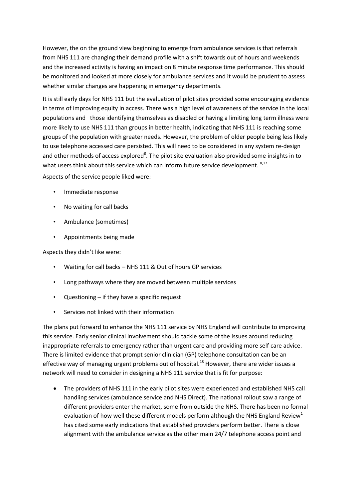However, the on the ground view beginning to emerge from ambulance services is that referrals from NHS 111 are changing their demand profile with a shift towards out of hours and weekends and the increased activity is having an impact on 8 minute response time performance. This should be monitored and looked at more closely for ambulance services and it would be prudent to assess whether similar changes are happening in emergency departments.

It is still early days for NHS 111 but the evaluation of pilot sites provided some encouraging evidence in terms of improving equity in access. There was a high level of awareness of the service in the local populations and those identifying themselves as disabled or having a limiting long term illness were more likely to use NHS 111 than groups in better health, indicating that NHS 111 is reaching some groups of the population with greater needs. However, the problem of older people being less likely to use telephone accessed care persisted. This will need to be considered in any system re-design and other methods of access explored<sup>8</sup>. The pilot site evaluation also provided some insights in to what users think about this service which can inform future service development. <sup>8,17</sup>.

Aspects of the service people liked were:

- Immediate response
- No waiting for call backs
- Ambulance (sometimes)
- Appointments being made

Aspects they didn't like were:

- Waiting for call backs NHS 111 & Out of hours GP services
- Long pathways where they are moved between multiple services
- Questioning  $-$  if they have a specific request
- Services not linked with their information

The plans put forward to enhance the NHS 111 service by NHS England will contribute to improving this service. Early senior clinical involvement should tackle some of the issues around reducing inappropriate referrals to emergency rather than urgent care and providing more self care advice. There is limited evidence that prompt senior clinician (GP) telephone consultation can be an effective way of managing urgent problems out of hospital.<sup>18</sup> However, there are wider issues a network will need to consider in designing a NHS 111 service that is fit for purpose:

 The providers of NHS 111 in the early pilot sites were experienced and established NHS call handling services (ambulance service and NHS Direct). The national rollout saw a range of different providers enter the market, some from outside the NHS. There has been no formal evaluation of how well these different models perform although the NHS England Review<sup>1</sup> has cited some early indications that established providers perform better. There is close alignment with the ambulance service as the other main 24/7 telephone access point and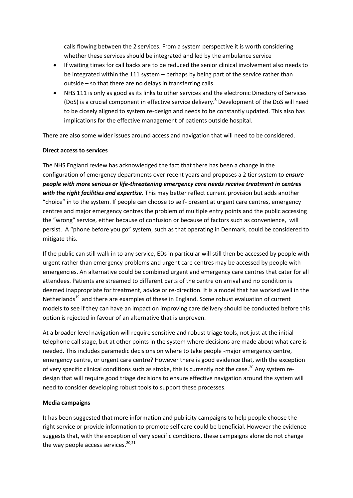calls flowing between the 2 services. From a system perspective it is worth considering whether these services should be integrated and led by the ambulance service

- If waiting times for call backs are to be reduced the senior clinical involvement also needs to be integrated within the 111 system – perhaps by being part of the service rather than outside – so that there are no delays in transferring calls
- NHS 111 is only as good as its links to other services and the electronic Directory of Services (DoS) is a crucial component in effective service delivery. <sup>8</sup> Development of the DoS will need to be closely aligned to system re-design and needs to be constantly updated. This also has implications for the effective management of patients outside hospital.

There are also some wider issues around access and navigation that will need to be considered.

## **Direct access to services**

The NHS England review has acknowledged the fact that there has been a change in the configuration of emergency departments over recent years and proposes a 2 tier system to *ensure people with more serious or life-threatening emergency care needs receive treatment in centres with the right facilities and expertise.* This may better reflect current provision but adds another "choice" in to the system. If people can choose to self- present at urgent care centres, emergency centres and major emergency centres the problem of multiple entry points and the public accessing the "wrong" service, either because of confusion or because of factors such as convenience, will persist. A "phone before you go" system, such as that operating in Denmark, could be considered to mitigate this.

If the public can still walk in to any service, EDs in particular will still then be accessed by people with urgent rather than emergency problems and urgent care centres may be accessed by people with emergencies. An alternative could be combined urgent and emergency care centres that cater for all attendees. Patients are streamed to different parts of the centre on arrival and no condition is deemed inappropriate for treatment, advice or re-direction. It is a model that has worked well in the Netherlands<sup>19</sup> and there are examples of these in England. Some robust evaluation of current models to see if they can have an impact on improving care delivery should be conducted before this option is rejected in favour of an alternative that is unproven.

At a broader level navigation will require sensitive and robust triage tools, not just at the initial telephone call stage, but at other points in the system where decisions are made about what care is needed. This includes paramedic decisions on where to take people -major emergency centre, emergency centre, or urgent care centre? However there is good evidence that, with the exception of very specific clinical conditions such as stroke, this is currently not the case.<sup>20</sup> Any system redesign that will require good triage decisions to ensure effective navigation around the system will need to consider developing robust tools to support these processes.

### **Media campaigns**

It has been suggested that more information and publicity campaigns to help people choose the right service or provide information to promote self care could be beneficial. However the evidence suggests that, with the exception of very specific conditions, these campaigns alone do not change the way people access services.<sup>20,21</sup>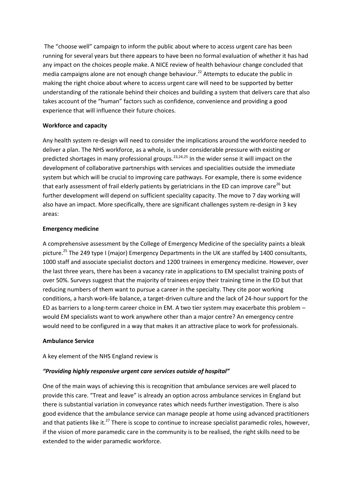The "choose well" campaign to inform the public about where to access urgent care has been running for several years but there appears to have been no formal evaluation of whether it has had any impact on the choices people make. A NICE review of health behaviour change concluded that media campaigns alone are not enough change behaviour. <sup>22</sup> Attempts to educate the public in making the right choice about where to access urgent care will need to be supported by better understanding of the rationale behind their choices and building a system that delivers care that also takes account of the "human" factors such as confidence, convenience and providing a good experience that will influence their future choices.

## **Workforce and capacity**

Any health system re-design will need to consider the implications around the workforce needed to deliver a plan. The NHS workforce, as a whole, is under considerable pressure with existing or predicted shortages in many professional groups.<sup>23,24,25</sup> In the wider sense it will impact on the development of collaborative partnerships with services and specialities outside the immediate system but which will be crucial to improving care pathways. For example, there is some evidence that early assessment of frail elderly patients by geriatricians in the ED can improve care<sup>26</sup> but further development will depend on sufficient speciality capacity. The move to 7 day working will also have an impact. More specifically, there are significant challenges system re-design in 3 key areas:

## **Emergency medicine**

A comprehensive assessment by the College of Emergency Medicine of the speciality paints a bleak picture.<sup>25</sup> The 249 type I (major) Emergency Departments in the UK are staffed by 1400 consultants, 1000 staff and associate specialist doctors and 1200 trainees in emergency medicine. However, over the last three years, there has been a vacancy rate in applications to EM specialist training posts of over 50%. Surveys suggest that the majority of trainees enjoy their training time in the ED but that reducing numbers of them want to pursue a career in the specialty. They cite poor working conditions, a harsh work-life balance, a target-driven culture and the lack of 24-hour support for the ED as barriers to a long-term career choice in EM. A two tier system may exacerbate this problem – would EM specialists want to work anywhere other than a major centre? An emergency centre would need to be configured in a way that makes it an attractive place to work for professionals.

### **Ambulance Service**

# A key element of the NHS England review is

# *"Providing highly responsive urgent care services outside of hospital"*

One of the main ways of achieving this is recognition that ambulance services are well placed to provide this care. "Treat and leave" is already an option across ambulance services in England but there is substantial variation in conveyance rates which needs further investigation. There is also good evidence that the ambulance service can manage people at home using advanced practitioners and that patients like it.<sup>27</sup> There is scope to continue to increase specialist paramedic roles, however, if the vision of more paramedic care in the community is to be realised, the right skills need to be extended to the wider paramedic workforce.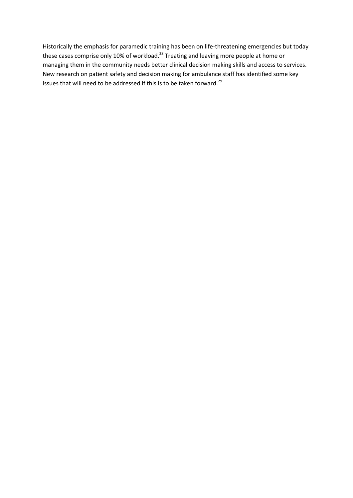Historically the emphasis for paramedic training has been on life-threatening emergencies but today these cases comprise only 10% of workload.<sup>28</sup> Treating and leaving more people at home or managing them in the community needs better clinical decision making skills and access to services. New research on patient safety and decision making for ambulance staff has identified some key issues that will need to be addressed if this is to be taken forward.<sup>29</sup>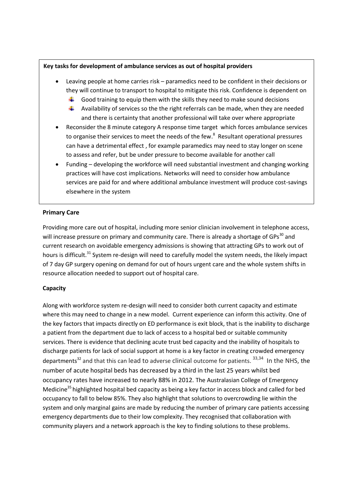## **Key tasks for development of ambulance services as out of hospital providers**

- Leaving people at home carries risk paramedics need to be confident in their decisions or they will continue to transport to hospital to mitigate this risk. Confidence is dependent on
	- $\ddot{\phantom{1}}$  Good training to equip them with the skills they need to make sound decisions
	- $\ddot{\phantom{1}}$  Availability of services so the the right referrals can be made, when they are needed and there is certainty that another professional will take over where appropriate
- Reconsider the 8 minute category A response time target which forces ambulance services to organise their services to meet the needs of the few.<sup>8</sup> Resultant operational pressures can have a detrimental effect , for example paramedics may need to stay longer on scene to assess and refer, but be under pressure to become available for another call
- Funding developing the workforce will need substantial investment and changing working practices will have cost implications. Networks will need to consider how ambulance services are paid for and where additional ambulance investment will produce cost-savings elsewhere in the system

# **Primary Care**

Providing more care out of hospital, including more senior clinician involvement in telephone access, will increase pressure on primary and community care. There is already a shortage of GPs<sup>30</sup> and current research on avoidable emergency admissions is showing that attracting GPs to work out of hours is difficult.<sup>31</sup> System re-design will need to carefully model the system needs, the likely impact of 7 day GP surgery opening on demand for out of hours urgent care and the whole system shifts in resource allocation needed to support out of hospital care.

# **Capacity**

Along with workforce system re-design will need to consider both current capacity and estimate where this may need to change in a new model. Current experience can inform this activity. One of the key factors that impacts directly on ED performance is exit block, that is the inability to discharge a patient from the department due to lack of access to a hospital bed or suitable community services. There is evidence that declining acute trust bed capacity and the inability of hospitals to discharge patients for lack of social support at home is a key factor in creating crowded emergency departments<sup>32</sup> and that this can lead to adverse clinical outcome for patients. <sup>33,34</sup> In the NHS, the number of acute hospital beds has decreased by a third in the last 25 years whilst bed occupancy rates have increased to nearly 88% in 2012. The Australasian College of Emergency Medicine<sup>35</sup> highlighted hospital bed capacity as being a key factor in access block and called for bed occupancy to fall to below 85%. They also highlight that solutions to overcrowding lie within the system and only marginal gains are made by reducing the number of primary care patients accessing emergency departments due to their low complexity. They recognised that collaboration with community players and a network approach is the key to finding solutions to these problems.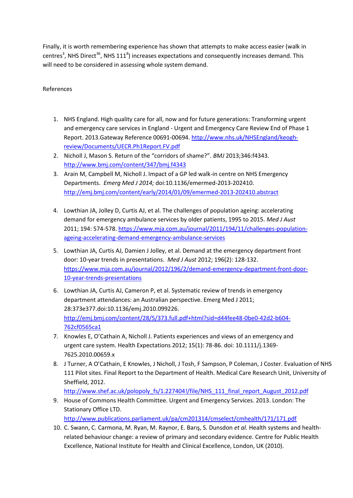Finally, it is worth remembering experience has shown that attempts to make access easier (walk in centres<sup>3</sup>, NHS Direct<sup>36</sup>, NHS 111<sup>8</sup>) increases expectations and consequently increases demand. This will need to be considered in assessing whole system demand.

# References

- 1. NHS England. High quality care for all, now and for future generations: Transforming urgent and emergency care services in England - Urgent and Emergency Care Review End of Phase 1 Report. 2013.Gateway Reference 00691-00694. [http://www.nhs.uk/NHSEngland/keogh](http://www.nhs.uk/NHSEngland/keogh-review/Documents/UECR.Ph1Report.FV.pdf)[review/Documents/UECR.Ph1Report.FV.pdf](http://www.nhs.uk/NHSEngland/keogh-review/Documents/UECR.Ph1Report.FV.pdf)
- 2. Nicholl J, Mason S. Return of the "corridors of shame?". *BMJ* 2013;346:f4343. <http://www.bmj.com/content/347/bmj.f4343>
- 3. Arain M, Campbell M, Nicholl J. Impact of a GP led walk-in centre on NHS Emergency Departments. *Emerg Med J 2014;* doi:10.1136/emermed-2013-202410. <http://emj.bmj.com/content/early/2014/01/09/emermed-2013-202410.abstract>
- 4. Lowthian JA, Jolley D, Curtis AJ, et al. The challenges of population ageing: accelerating demand for emergency ambulance services by older patients, 1995 to 2015. *Med J Aust*  2011; 194: 574-578[. https://www.mja.com.au/journal/2011/194/11/challenges-population](https://www.mja.com.au/journal/2011/194/11/challenges-population-ageing-accelerating-demand-emergency-ambulance-services)[ageing-accelerating-demand-emergency-ambulance-services](https://www.mja.com.au/journal/2011/194/11/challenges-population-ageing-accelerating-demand-emergency-ambulance-services)
- 5. Lowthian JA, Curtis AJ, Damien J Jolley, et al. Demand at the emergency department front door: 10-year trends in presentations. *Med J Aust* 2012; 196(2): 128-132. [https://www.mja.com.au/journal/2012/196/2/demand-emergency-department-front-door-](https://www.mja.com.au/journal/2012/196/2/demand-emergency-department-front-door-10-year-trends-presentations)[10-year-trends-presentations](https://www.mja.com.au/journal/2012/196/2/demand-emergency-department-front-door-10-year-trends-presentations)
- 6. Lowthian JA, Curtis AJ, Cameron P, et al. Systematic review of trends in emergency department attendances: an Australian perspective. Emerg Med J 2011; 28:373e377.doi:10.1136/emj.2010.099226. [http://emj.bmj.com/content/28/5/373.full.pdf+html?sid=d44fee48-0be0-42d2-b604-](http://emj.bmj.com/content/28/5/373.full.pdf+html?sid=d44fee48-0be0-42d2-b604-762cf0565ca1) [762cf0565ca1](http://emj.bmj.com/content/28/5/373.full.pdf+html?sid=d44fee48-0be0-42d2-b604-762cf0565ca1)
- 7. Knowles E, O'Cathain A, Nicholl J. Patients experiences and views of an emergency and urgent care system. Health Expectations 2012; 15(1): 78-86. doi: 10.1111/j.1369- 7625.2010.00659.x
- 8. J Turner, A O'Cathain, E Knowles, J Nicholl, J Tosh, F Sampson, P Coleman, J Coster. Evaluation of NHS 111 Pilot sites. Final Report to the Department of Health. Medical Care Research Unit, University of Sheffield, 2012.

[http://www.shef.ac.uk/polopoly\\_fs/1.227404!/file/NHS\\_111\\_final\\_report\\_August\\_2012.pdf](http://www.shef.ac.uk/polopoly_fs/1.227404!/file/NHS_111_final_report_August_2012.pdf)

9. House of Commons Health Committee. Urgent and Emergency Services. 2013. London: The Stationary Office LTD.

<http://www.publications.parliament.uk/pa/cm201314/cmselect/cmhealth/171/171.pdf>

10. C. Swann, C. Carmona, M. Ryan, M. Raynor, E. Barış, S. Dunsdon *et al.* Health systems and healthrelated behaviour change: a review of primary and secondary evidence. Centre for Public Health Excellence, National Institute for Health and Clinical Excellence, London, UK (2010).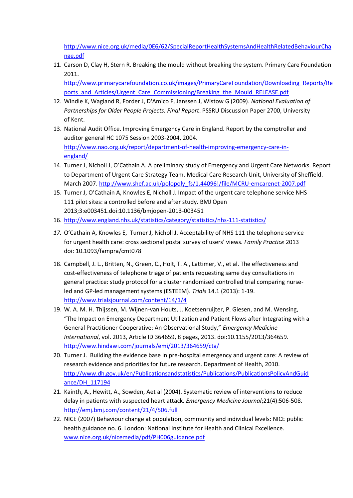[http://www.nice.org.uk/media/0E6/62/SpecialReportHealthSystemsAndHealthRelatedBehaviourCha](http://www.nice.org.uk/media/0E6/62/SpecialReportHealthSystemsAndHealthRelatedBehaviourChange.pdf) [nge.pdf](http://www.nice.org.uk/media/0E6/62/SpecialReportHealthSystemsAndHealthRelatedBehaviourChange.pdf)

11. Carson D, Clay H, Stern R. Breaking the mould without breaking the system. Primary Care Foundation 2011.

[http://www.primarycarefoundation.co.uk/images/PrimaryCareFoundation/Downloading\\_Reports/Re](http://www.primarycarefoundation.co.uk/images/PrimaryCareFoundation/Downloading_Reports/Reports_and_Articles/Urgent_Care_Commissioning/Breaking_the_Mould_RELEASE.pdf) [ports\\_and\\_Articles/Urgent\\_Care\\_Commissioning/Breaking\\_the\\_Mould\\_RELEASE.pdf](http://www.primarycarefoundation.co.uk/images/PrimaryCareFoundation/Downloading_Reports/Reports_and_Articles/Urgent_Care_Commissioning/Breaking_the_Mould_RELEASE.pdf)

- 12. Windle K, Wagland R, Forder J, D'Amico F, Janssen J, Wistow G (2009). *National Evaluation of Partnerships for Older People Projects: Final Report*. PSSRU Discussion Paper 2700, University of Kent.
- 13. National Audit Office. Improving Emergency Care in England. Report by the comptroller and auditor general HC 1075 Session 2003-2004, 2004. [http://www.nao.org.uk/report/department-of-health-improving-emergency-care-in](http://www.nao.org.uk/report/department-of-health-improving-emergency-care-in-england/)[england/](http://www.nao.org.uk/report/department-of-health-improving-emergency-care-in-england/)
- 14. Turner J, Nicholl J, O'Cathain A. A preliminary study of Emergency and Urgent Care Networks. Report to Department of Urgent Care Strategy Team. Medical Care Research Unit, University of Sheffield. March 2007. [http://www.shef.ac.uk/polopoly\\_fs/1.44096!/file/MCRU-emcarenet-2007.pdf](http://www.shef.ac.uk/polopoly_fs/1.44096!/file/MCRU-emcarenet-2007.pdf)
- 15. Turner J, O'Cathain A, Knowles E, Nicholl J. Impact of the urgent care telephone service NHS 111 pilot sites: a controlled before and after study. BMJ Open 2013;3:e003451.doi:10.1136/bmjopen-2013-003451
- 16. <http://www.england.nhs.uk/statistics/category/statistics/nhs-111-statistics/>
- *17.* O'Cathain A, Knowles E, Turner J, Nicholl J. Acceptability of NHS 111 the telephone service for urgent health care: cross sectional postal survey of users' views. *Family Practice* 2013 doi: 10.1093/fampra/cmt078
- 18. Campbell, J. L., Britten, N., Green, C., Holt, T. A., Lattimer, V., et al. The effectiveness and cost-effectiveness of telephone triage of patients requesting same day consultations in general practice: study protocol for a cluster randomised controlled trial comparing nurseled and GP-led management systems (ESTEEM). *Trials* 14.1 (2013): 1-19. <http://www.trialsjournal.com/content/14/1/4>
- 19. W. A. M. H. Thijssen, M. Wijnen-van Houts, J. Koetsenruijter, P. Giesen, and M. Wensing, "The Impact on Emergency Department Utilization and Patient Flows after Integrating with a General Practitioner Cooperative: An Observational Study," *Emergency Medicine International*, vol. 2013, Article ID 364659, 8 pages, 2013. doi:10.1155/2013/364659. <http://www.hindawi.com/journals/emi/2013/364659/cta/>
- 20. Turner J. Building the evidence base in pre-hospital emergency and urgent care: A review of research evidence and priorities for future research. Department of Health, 2010. [http://www.dh.gov.uk/en/Publicationsandstatistics/Publications/PublicationsPolicyAndGuid](http://www.dh.gov.uk/en/Publicationsandstatistics/Publications/PublicationsPolicyAndGuidance/DH_117194) [ance/DH\\_117194](http://www.dh.gov.uk/en/Publicationsandstatistics/Publications/PublicationsPolicyAndGuidance/DH_117194)
- 21. Kainth, A., Hewitt, A., Sowden, Aet al (2004). Systematic review of interventions to reduce delay in patients with suspected heart attack. *Emergency Medicine Journal*;21(4):506-508. <http://emj.bmj.com/content/21/4/506.full>
- 22. NICE (2007) Behaviour change at population, community and individual levels: NICE public health guidance no. 6. London: National Institute for Health and Clinical Excellence. [www.nice.org.uk/nicemedia/pdf/PH006guidance.pdf](http://www.nice.org.uk/nicemedia/pdf/PH006guidance.pdf)